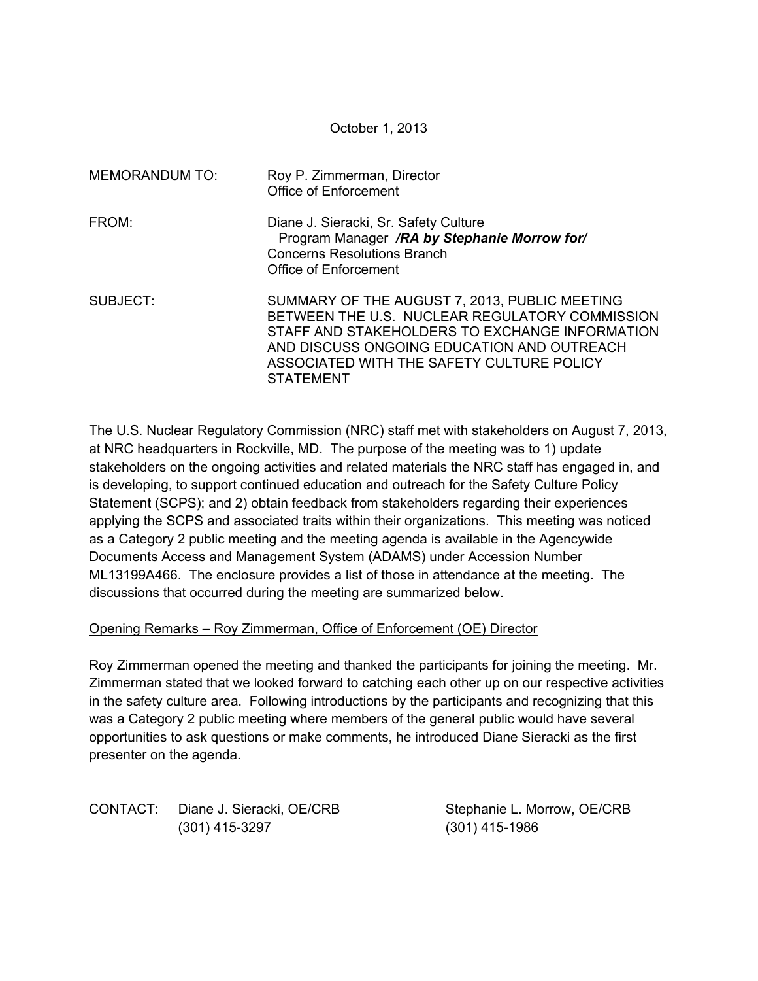October 1, 2013

| <b>MEMORANDUM TO:</b> | Roy P. Zimmerman, Director<br><b>Office of Enforcement</b>                                                                                                                                                                                                       |
|-----------------------|------------------------------------------------------------------------------------------------------------------------------------------------------------------------------------------------------------------------------------------------------------------|
| FROM:                 | Diane J. Sieracki, Sr. Safety Culture<br>Program Manager /RA by Stephanie Morrow for/<br><b>Concerns Resolutions Branch</b><br>Office of Enforcement                                                                                                             |
| SUBJECT:              | SUMMARY OF THE AUGUST 7, 2013, PUBLIC MEETING<br>BETWEEN THE U.S. NUCLEAR REGULATORY COMMISSION<br>STAFF AND STAKEHOLDERS TO EXCHANGE INFORMATION<br>AND DISCUSS ONGOING EDUCATION AND OUTREACH<br>ASSOCIATED WITH THE SAFETY CULTURE POLICY<br><b>STATEMENT</b> |

The U.S. Nuclear Regulatory Commission (NRC) staff met with stakeholders on August 7, 2013, at NRC headquarters in Rockville, MD. The purpose of the meeting was to 1) update stakeholders on the ongoing activities and related materials the NRC staff has engaged in, and is developing, to support continued education and outreach for the Safety Culture Policy Statement (SCPS); and 2) obtain feedback from stakeholders regarding their experiences applying the SCPS and associated traits within their organizations. This meeting was noticed as a Category 2 public meeting and the meeting agenda is available in the Agencywide Documents Access and Management System (ADAMS) under Accession Number ML13199A466. The enclosure provides a list of those in attendance at the meeting. The discussions that occurred during the meeting are summarized below.

## Opening Remarks – Roy Zimmerman, Office of Enforcement (OE) Director

Roy Zimmerman opened the meeting and thanked the participants for joining the meeting. Mr. Zimmerman stated that we looked forward to catching each other up on our respective activities in the safety culture area. Following introductions by the participants and recognizing that this was a Category 2 public meeting where members of the general public would have several opportunities to ask questions or make comments, he introduced Diane Sieracki as the first presenter on the agenda.

CONTACT: Diane J. Sieracki, OE/CRB Stephanie L. Morrow, OE/CRB (301) 415-3297 (301) 415-1986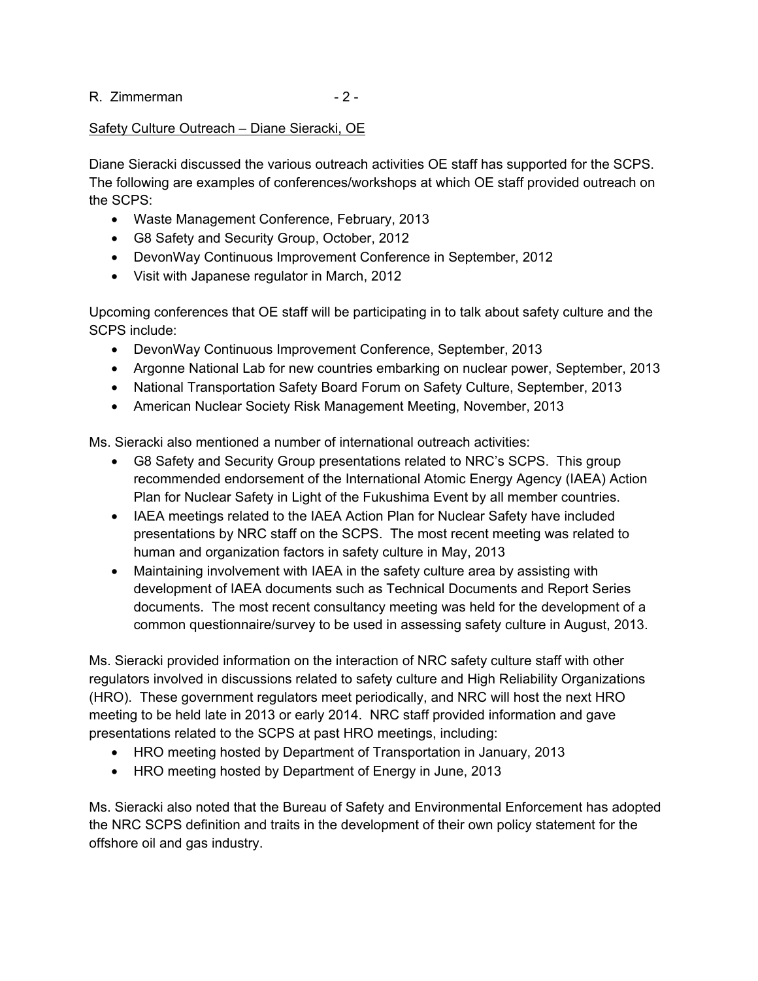R. Zimmerman - 2 -

# Safety Culture Outreach – Diane Sieracki, OE

Diane Sieracki discussed the various outreach activities OE staff has supported for the SCPS. The following are examples of conferences/workshops at which OE staff provided outreach on the SCPS:

- Waste Management Conference, February, 2013
- G8 Safety and Security Group, October, 2012
- DevonWay Continuous Improvement Conference in September, 2012
- Visit with Japanese regulator in March, 2012

Upcoming conferences that OE staff will be participating in to talk about safety culture and the SCPS include:

- DevonWay Continuous Improvement Conference, September, 2013
- Argonne National Lab for new countries embarking on nuclear power, September, 2013
- National Transportation Safety Board Forum on Safety Culture, September, 2013
- American Nuclear Society Risk Management Meeting, November, 2013

Ms. Sieracki also mentioned a number of international outreach activities:

- G8 Safety and Security Group presentations related to NRC's SCPS. This group recommended endorsement of the International Atomic Energy Agency (IAEA) Action Plan for Nuclear Safety in Light of the Fukushima Event by all member countries.
- IAEA meetings related to the IAEA Action Plan for Nuclear Safety have included presentations by NRC staff on the SCPS. The most recent meeting was related to human and organization factors in safety culture in May, 2013
- Maintaining involvement with IAEA in the safety culture area by assisting with development of IAEA documents such as Technical Documents and Report Series documents. The most recent consultancy meeting was held for the development of a common questionnaire/survey to be used in assessing safety culture in August, 2013.

Ms. Sieracki provided information on the interaction of NRC safety culture staff with other regulators involved in discussions related to safety culture and High Reliability Organizations (HRO). These government regulators meet periodically, and NRC will host the next HRO meeting to be held late in 2013 or early 2014. NRC staff provided information and gave presentations related to the SCPS at past HRO meetings, including:

- HRO meeting hosted by Department of Transportation in January, 2013
- HRO meeting hosted by Department of Energy in June, 2013

Ms. Sieracki also noted that the Bureau of Safety and Environmental Enforcement has adopted the NRC SCPS definition and traits in the development of their own policy statement for the offshore oil and gas industry.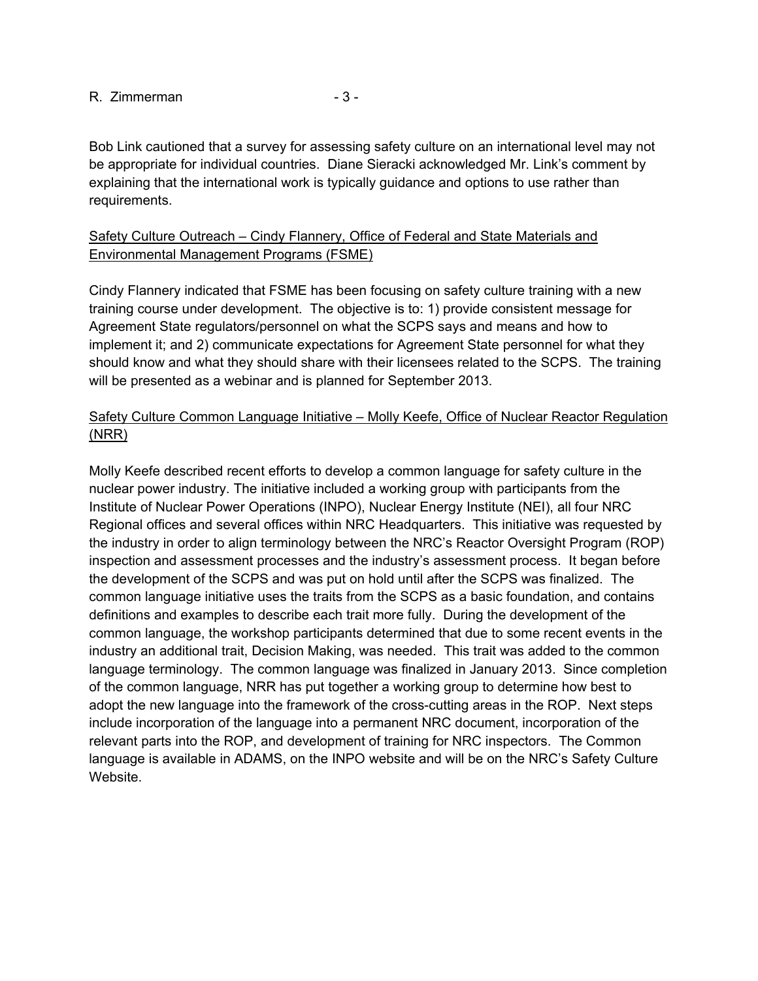#### R. Zimmerman - 3 -

Bob Link cautioned that a survey for assessing safety culture on an international level may not be appropriate for individual countries. Diane Sieracki acknowledged Mr. Link's comment by explaining that the international work is typically guidance and options to use rather than requirements.

## Safety Culture Outreach – Cindy Flannery, Office of Federal and State Materials and Environmental Management Programs (FSME)

Cindy Flannery indicated that FSME has been focusing on safety culture training with a new training course under development. The objective is to: 1) provide consistent message for Agreement State regulators/personnel on what the SCPS says and means and how to implement it; and 2) communicate expectations for Agreement State personnel for what they should know and what they should share with their licensees related to the SCPS. The training will be presented as a webinar and is planned for September 2013.

# Safety Culture Common Language Initiative – Molly Keefe, Office of Nuclear Reactor Regulation (NRR)

Molly Keefe described recent efforts to develop a common language for safety culture in the nuclear power industry. The initiative included a working group with participants from the Institute of Nuclear Power Operations (INPO), Nuclear Energy Institute (NEI), all four NRC Regional offices and several offices within NRC Headquarters. This initiative was requested by the industry in order to align terminology between the NRC's Reactor Oversight Program (ROP) inspection and assessment processes and the industry's assessment process. It began before the development of the SCPS and was put on hold until after the SCPS was finalized. The common language initiative uses the traits from the SCPS as a basic foundation, and contains definitions and examples to describe each trait more fully. During the development of the common language, the workshop participants determined that due to some recent events in the industry an additional trait, Decision Making, was needed. This trait was added to the common language terminology. The common language was finalized in January 2013. Since completion of the common language, NRR has put together a working group to determine how best to adopt the new language into the framework of the cross-cutting areas in the ROP. Next steps include incorporation of the language into a permanent NRC document, incorporation of the relevant parts into the ROP, and development of training for NRC inspectors. The Common language is available in ADAMS, on the INPO website and will be on the NRC's Safety Culture Website.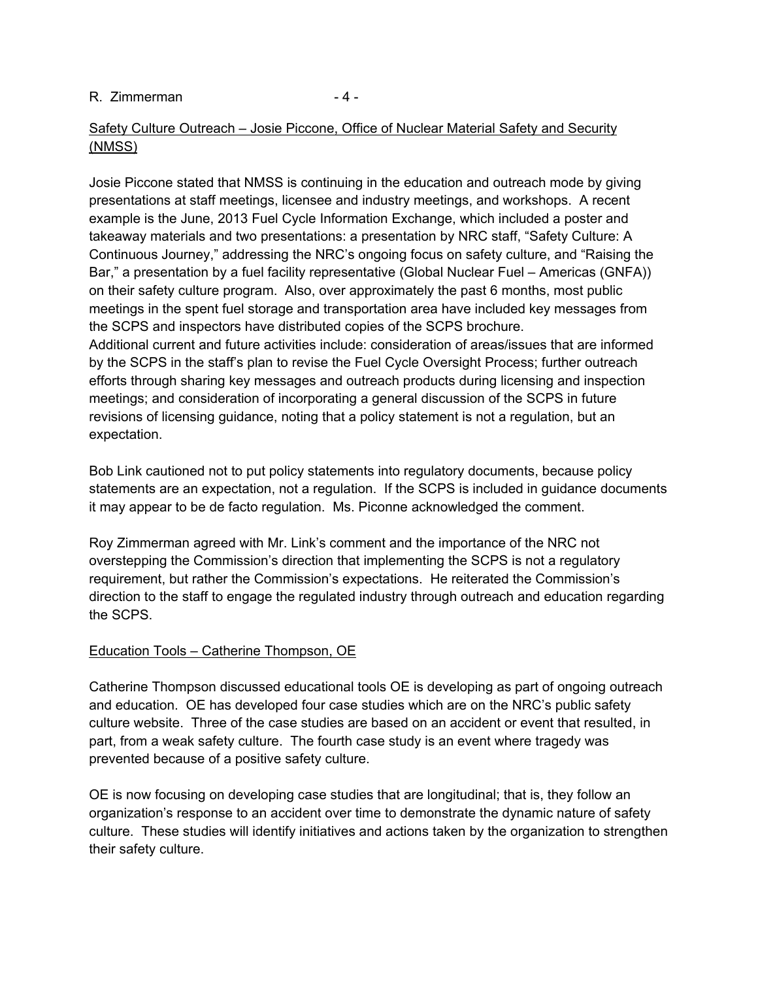## R. Zimmerman - 4 -

# Safety Culture Outreach – Josie Piccone, Office of Nuclear Material Safety and Security (NMSS)

Josie Piccone stated that NMSS is continuing in the education and outreach mode by giving presentations at staff meetings, licensee and industry meetings, and workshops. A recent example is the June, 2013 Fuel Cycle Information Exchange, which included a poster and takeaway materials and two presentations: a presentation by NRC staff, "Safety Culture: A Continuous Journey," addressing the NRC's ongoing focus on safety culture, and "Raising the Bar," a presentation by a fuel facility representative (Global Nuclear Fuel – Americas (GNFA)) on their safety culture program. Also, over approximately the past 6 months, most public meetings in the spent fuel storage and transportation area have included key messages from the SCPS and inspectors have distributed copies of the SCPS brochure. Additional current and future activities include: consideration of areas/issues that are informed by the SCPS in the staff's plan to revise the Fuel Cycle Oversight Process; further outreach efforts through sharing key messages and outreach products during licensing and inspection meetings; and consideration of incorporating a general discussion of the SCPS in future revisions of licensing guidance, noting that a policy statement is not a regulation, but an expectation.

Bob Link cautioned not to put policy statements into regulatory documents, because policy statements are an expectation, not a regulation. If the SCPS is included in guidance documents it may appear to be de facto regulation. Ms. Piconne acknowledged the comment.

Roy Zimmerman agreed with Mr. Link's comment and the importance of the NRC not overstepping the Commission's direction that implementing the SCPS is not a regulatory requirement, but rather the Commission's expectations. He reiterated the Commission's direction to the staff to engage the regulated industry through outreach and education regarding the SCPS.

## Education Tools – Catherine Thompson, OE

Catherine Thompson discussed educational tools OE is developing as part of ongoing outreach and education. OE has developed four case studies which are on the NRC's public safety culture website. Three of the case studies are based on an accident or event that resulted, in part, from a weak safety culture. The fourth case study is an event where tragedy was prevented because of a positive safety culture.

OE is now focusing on developing case studies that are longitudinal; that is, they follow an organization's response to an accident over time to demonstrate the dynamic nature of safety culture. These studies will identify initiatives and actions taken by the organization to strengthen their safety culture.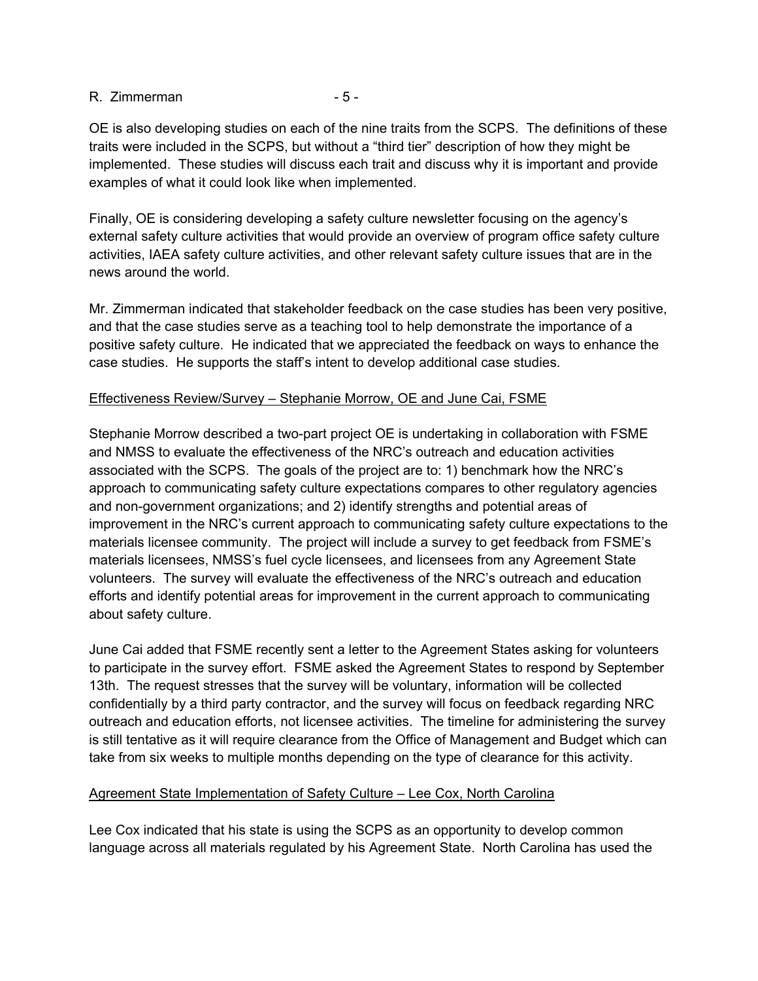### R. Zimmerman - 5 -

OE is also developing studies on each of the nine traits from the SCPS. The definitions of these traits were included in the SCPS, but without a "third tier" description of how they might be implemented. These studies will discuss each trait and discuss why it is important and provide examples of what it could look like when implemented.

Finally, OE is considering developing a safety culture newsletter focusing on the agency's external safety culture activities that would provide an overview of program office safety culture activities, IAEA safety culture activities, and other relevant safety culture issues that are in the news around the world.

Mr. Zimmerman indicated that stakeholder feedback on the case studies has been very positive, and that the case studies serve as a teaching tool to help demonstrate the importance of a positive safety culture. He indicated that we appreciated the feedback on ways to enhance the case studies. He supports the staff's intent to develop additional case studies.

# Effectiveness Review/Survey – Stephanie Morrow, OE and June Cai, FSME

Stephanie Morrow described a two-part project OE is undertaking in collaboration with FSME and NMSS to evaluate the effectiveness of the NRC's outreach and education activities associated with the SCPS. The goals of the project are to: 1) benchmark how the NRC's approach to communicating safety culture expectations compares to other regulatory agencies and non-government organizations; and 2) identify strengths and potential areas of improvement in the NRC's current approach to communicating safety culture expectations to the materials licensee community. The project will include a survey to get feedback from FSME's materials licensees, NMSS's fuel cycle licensees, and licensees from any Agreement State volunteers. The survey will evaluate the effectiveness of the NRC's outreach and education efforts and identify potential areas for improvement in the current approach to communicating about safety culture.

June Cai added that FSME recently sent a letter to the Agreement States asking for volunteers to participate in the survey effort. FSME asked the Agreement States to respond by September 13th. The request stresses that the survey will be voluntary, information will be collected confidentially by a third party contractor, and the survey will focus on feedback regarding NRC outreach and education efforts, not licensee activities. The timeline for administering the survey is still tentative as it will require clearance from the Office of Management and Budget which can take from six weeks to multiple months depending on the type of clearance for this activity.

## Agreement State Implementation of Safety Culture – Lee Cox, North Carolina

Lee Cox indicated that his state is using the SCPS as an opportunity to develop common language across all materials regulated by his Agreement State. North Carolina has used the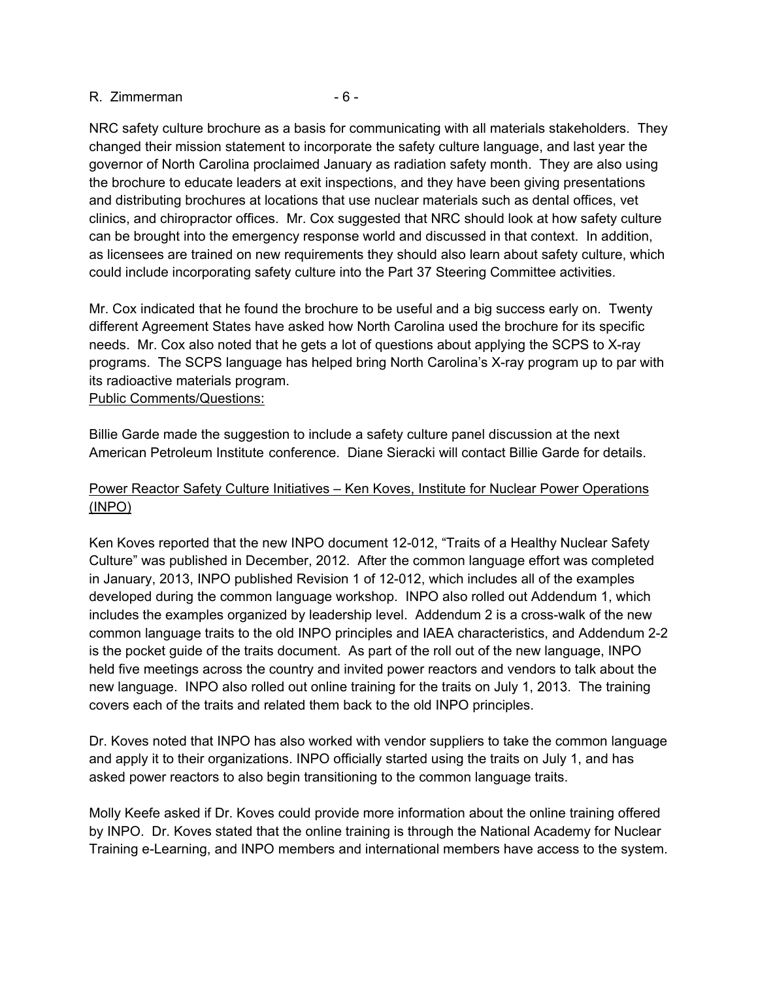#### R. Zimmerman - 6 -

NRC safety culture brochure as a basis for communicating with all materials stakeholders. They changed their mission statement to incorporate the safety culture language, and last year the governor of North Carolina proclaimed January as radiation safety month. They are also using the brochure to educate leaders at exit inspections, and they have been giving presentations and distributing brochures at locations that use nuclear materials such as dental offices, vet clinics, and chiropractor offices. Mr. Cox suggested that NRC should look at how safety culture can be brought into the emergency response world and discussed in that context. In addition, as licensees are trained on new requirements they should also learn about safety culture, which could include incorporating safety culture into the Part 37 Steering Committee activities.

Mr. Cox indicated that he found the brochure to be useful and a big success early on. Twenty different Agreement States have asked how North Carolina used the brochure for its specific needs. Mr. Cox also noted that he gets a lot of questions about applying the SCPS to X-ray programs. The SCPS language has helped bring North Carolina's X-ray program up to par with its radioactive materials program.

## Public Comments/Questions:

Billie Garde made the suggestion to include a safety culture panel discussion at the next American Petroleum Institute conference. Diane Sieracki will contact Billie Garde for details.

# Power Reactor Safety Culture Initiatives – Ken Koves, Institute for Nuclear Power Operations (INPO)

Ken Koves reported that the new INPO document 12-012, "Traits of a Healthy Nuclear Safety Culture" was published in December, 2012. After the common language effort was completed in January, 2013, INPO published Revision 1 of 12-012, which includes all of the examples developed during the common language workshop. INPO also rolled out Addendum 1, which includes the examples organized by leadership level. Addendum 2 is a cross-walk of the new common language traits to the old INPO principles and IAEA characteristics, and Addendum 2-2 is the pocket guide of the traits document. As part of the roll out of the new language, INPO held five meetings across the country and invited power reactors and vendors to talk about the new language. INPO also rolled out online training for the traits on July 1, 2013. The training covers each of the traits and related them back to the old INPO principles.

Dr. Koves noted that INPO has also worked with vendor suppliers to take the common language and apply it to their organizations. INPO officially started using the traits on July 1, and has asked power reactors to also begin transitioning to the common language traits.

Molly Keefe asked if Dr. Koves could provide more information about the online training offered by INPO. Dr. Koves stated that the online training is through the National Academy for Nuclear Training e-Learning, and INPO members and international members have access to the system.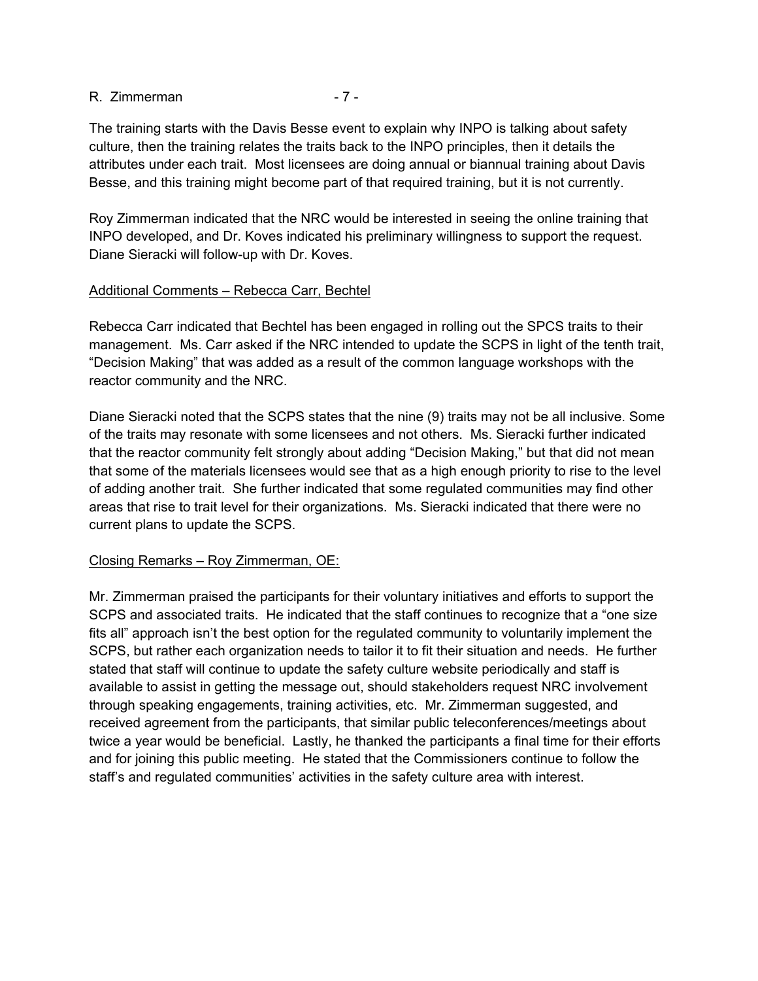### R. Zimmerman - 7 -

The training starts with the Davis Besse event to explain why INPO is talking about safety culture, then the training relates the traits back to the INPO principles, then it details the attributes under each trait. Most licensees are doing annual or biannual training about Davis Besse, and this training might become part of that required training, but it is not currently.

Roy Zimmerman indicated that the NRC would be interested in seeing the online training that INPO developed, and Dr. Koves indicated his preliminary willingness to support the request. Diane Sieracki will follow-up with Dr. Koves.

## Additional Comments – Rebecca Carr, Bechtel

Rebecca Carr indicated that Bechtel has been engaged in rolling out the SPCS traits to their management. Ms. Carr asked if the NRC intended to update the SCPS in light of the tenth trait, "Decision Making" that was added as a result of the common language workshops with the reactor community and the NRC.

Diane Sieracki noted that the SCPS states that the nine (9) traits may not be all inclusive. Some of the traits may resonate with some licensees and not others. Ms. Sieracki further indicated that the reactor community felt strongly about adding "Decision Making," but that did not mean that some of the materials licensees would see that as a high enough priority to rise to the level of adding another trait. She further indicated that some regulated communities may find other areas that rise to trait level for their organizations. Ms. Sieracki indicated that there were no current plans to update the SCPS.

# Closing Remarks – Roy Zimmerman, OE:

Mr. Zimmerman praised the participants for their voluntary initiatives and efforts to support the SCPS and associated traits. He indicated that the staff continues to recognize that a "one size fits all" approach isn't the best option for the regulated community to voluntarily implement the SCPS, but rather each organization needs to tailor it to fit their situation and needs. He further stated that staff will continue to update the safety culture website periodically and staff is available to assist in getting the message out, should stakeholders request NRC involvement through speaking engagements, training activities, etc. Mr. Zimmerman suggested, and received agreement from the participants, that similar public teleconferences/meetings about twice a year would be beneficial. Lastly, he thanked the participants a final time for their efforts and for joining this public meeting. He stated that the Commissioners continue to follow the staff's and regulated communities' activities in the safety culture area with interest.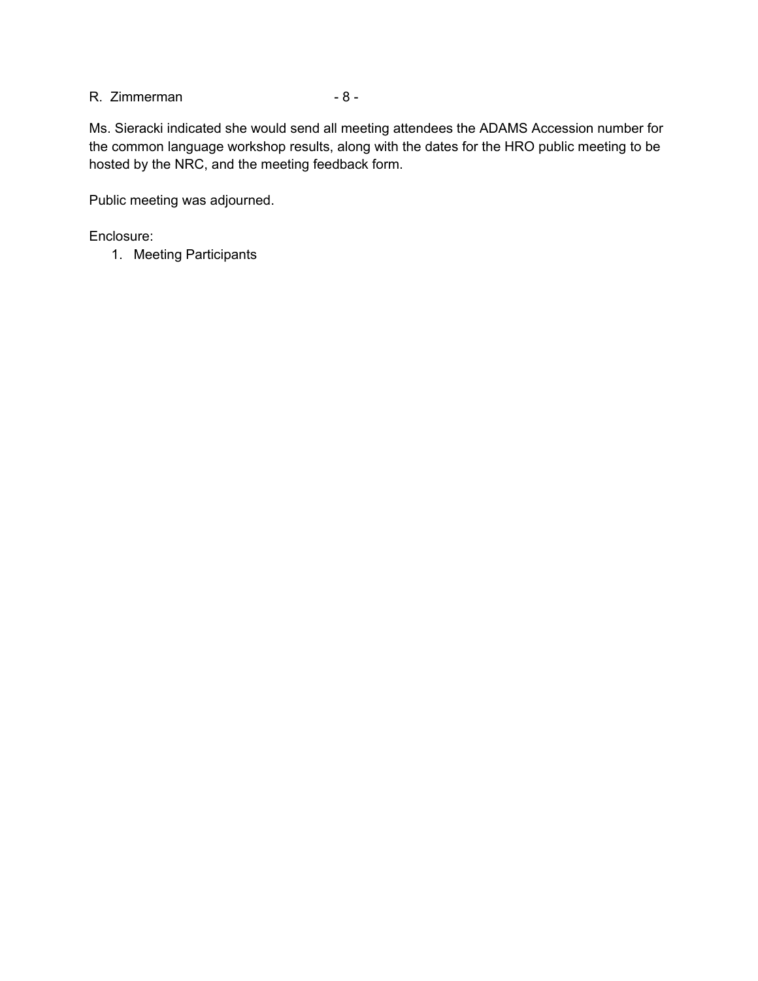# R. Zimmerman - 8 -

Ms. Sieracki indicated she would send all meeting attendees the ADAMS Accession number for the common language workshop results, along with the dates for the HRO public meeting to be hosted by the NRC, and the meeting feedback form.

Public meeting was adjourned.

Enclosure:

1. Meeting Participants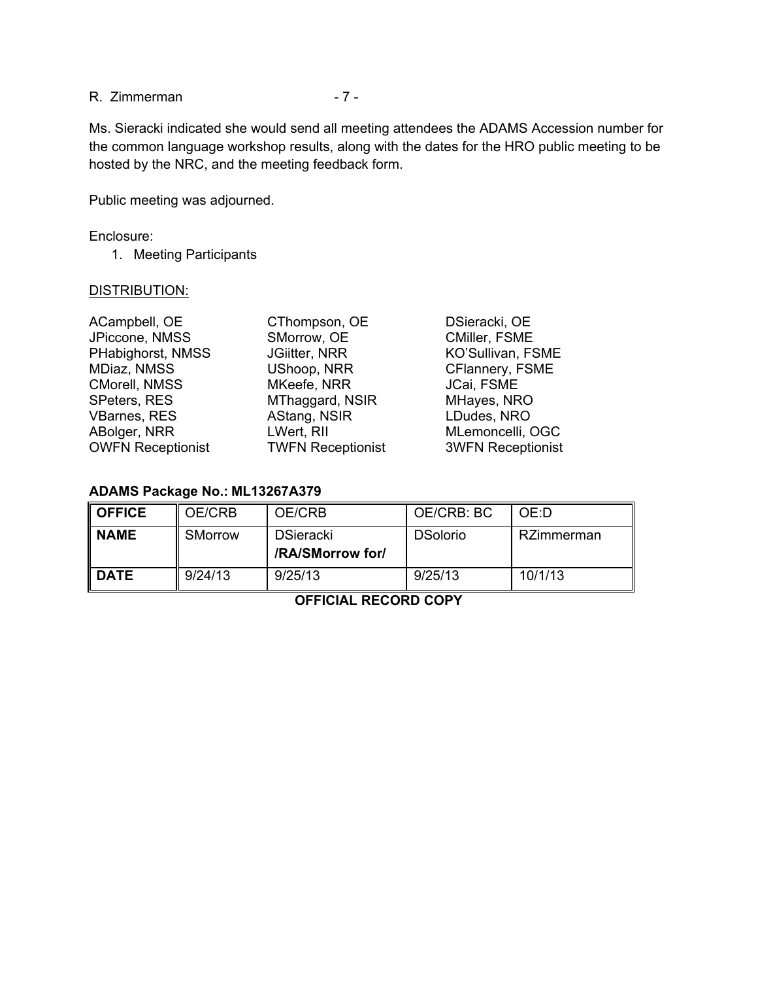R. Zimmerman - 7 -

Ms. Sieracki indicated she would send all meeting attendees the ADAMS Accession number for the common language workshop results, along with the dates for the HRO public meeting to be hosted by the NRC, and the meeting feedback form.

Public meeting was adjourned.

### Enclosure:

1. Meeting Participants

## DISTRIBUTION:

| ACampbell, OE            |  |  |  |  |
|--------------------------|--|--|--|--|
| JPiccone, NMSS           |  |  |  |  |
| PHabighorst, NMSS        |  |  |  |  |
| MDiaz, NMSS              |  |  |  |  |
| CMorell, NMSS            |  |  |  |  |
| <b>SPeters, RES</b>      |  |  |  |  |
| <b>VBarnes, RES</b>      |  |  |  |  |
| ABolger, NRR             |  |  |  |  |
| <b>OWFN Receptionist</b> |  |  |  |  |

SMorrow, OE CMiller, FSME UShoop, NRR CFlannery, FSME MKeefe, NRR JCai, FSME MThaggard, NSIR MHayes, NRO AStang, NSIR LDudes, NRO LWert, RII MLemoncelli, OGC

CThompson, OE DSieracki, OE JGiitter, NRR KO'Sullivan, FSME OWFN Receptionist TWFN Receptionist 3WFN Receptionist

### **ADAMS Package No.: ML13267A379**

| <b>OFFICE</b> | OE/CRB  | OE/CRB                               | OE/CRB: BC      | OFD        |
|---------------|---------|--------------------------------------|-----------------|------------|
| <b>NAME</b>   | SMorrow | <b>DSieracki</b><br>/RA/SMorrow for/ | <b>DSolorio</b> | RZimmerman |
| <b>DATE</b>   | 9/24/13 | 9/25/13                              | 9/25/13         | 10/1/13    |

**OFFICIAL RECORD COPY**